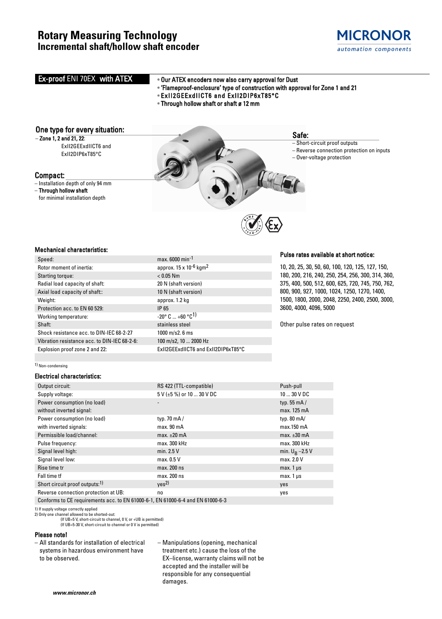## **Rotary Measuring Technology Incremental shaft/hollow shaft encoder**



## Pulse rates available at short notice: 10, 20, 25, 30, 50, 60, 100, 120, 125, 127, 150,  $max. 6000 min<sup>-1</sup>$ approx.  $15 \times 10^{-6}$  kgm<sup>2</sup>  $< 0.05$  Nm 20 N (shaft version) **Ex-proof ENI 70EX with ATEX • Our ATEX encoders now also carry approval for Dust** • 'Flameproof-enclosure' type of construction with approval for Zone 1 and 21 • ExII2GEExdIICT6 and ExII2DIP6xT85°C • Through hollow shaft or shaft ø 12 mm Safe: – Short-circuit proof outputs – Reverse connection protection on inputs – Over-voltage protection One type for every situation:  $-$  Zone 1, 2 and 21, 22: ExII2GEExdIICT6 and ExII2DIP6xT85°C **Compact:**

180, 200, 216, 240, 250, 254, 256, 300, 314, 360, 375, 400, 500, 512, 600, 625, 720, 745, 750, 762, 800, 900, 927, 1000, 1024, 1250, 1270, 1400, 1500, 1800, 2000, 2048, 2250, 2400, 2500, 3000, 3600, 4000, 4096, 5000

Other pulse rates on request

| oompaca                            |  |  |
|------------------------------------|--|--|
| – Installation depth of only 94 mm |  |  |

– Through hollow shaft for minimal installation depth

### Mechanical characteristics:

| Speed:                                       | max.              |
|----------------------------------------------|-------------------|
| Rotor moment of inertia:                     | appr              |
| Starting torque:                             | < 0.0             |
| Radial load capacity of shaft:               | 20 N              |
| Axial load capacity of shaft::               | 10 <sub>N</sub>   |
| Weight:                                      | appr              |
| Protection acc. to EN 60 529:                | IP 65             |
| Working temperature:                         | $-20^\circ$       |
| Shaft:                                       | stain             |
| Shock resistance acc. to DIN-IEC 68-2-27     | 1000              |
| Vibration resistance acc. to DIN-IEC 68-2-6: | 100n              |
| Explosion proof zone 2 and 22:               | ExII <sub>2</sub> |
|                                              |                   |

#### 1) Non-condensing

#### Electrical characteristics:

| Output circuit:                                                                 | RS 422 (TTL-compatible)         | Push-pull            |  |  |  |  |
|---------------------------------------------------------------------------------|---------------------------------|----------------------|--|--|--|--|
| Supply voltage:                                                                 | $5 V (\pm 5 \%)$ or 10  30 V DC | $1030$ V DC          |  |  |  |  |
| Power consumption (no load)                                                     |                                 | typ. $55 \text{ mA}$ |  |  |  |  |
| without inverted signal:                                                        |                                 | max. 125 mA          |  |  |  |  |
| Power consumption (no load)                                                     | typ. 70 $mA/$                   | typ. $80 \text{ mA}$ |  |  |  |  |
| with inverted signals:                                                          | max.90 <sub>m</sub> A           | max.150 mA           |  |  |  |  |
| Permissible load/channel:                                                       | max. $\pm 20$ mA                | max. $\pm 30$ mA     |  |  |  |  |
| Pulse frequency:                                                                | max. 300 kHz                    | max. 300 kHz         |  |  |  |  |
| Signal level high:                                                              | min. $2.5V$                     | min. $U_B - 2.5 V$   |  |  |  |  |
| Signal level low:                                                               | max. 0.5 V                      | max. 2.0 V           |  |  |  |  |
| Rise time tr                                                                    | max. 200 ns                     | max. $1 \mu s$       |  |  |  |  |
| Fall time tf                                                                    | max. 200 ns                     | max. $1 \mu s$       |  |  |  |  |
| Short circuit proof outputs: <sup>1)</sup>                                      | yes <sup>2</sup>                | yes                  |  |  |  |  |
| Reverse connection protection at UB:                                            | no                              | yes                  |  |  |  |  |
| Conforms to CE requirements acc. to EN 61000-6-1, EN 61000-6-4 and EN 61000-6-3 |                                 |                      |  |  |  |  |

10 N (shaft version) approx. 1.2 kg

 $-20^{\circ}$  C  $...$  +60  $^{\circ}$ C<sup>1)</sup> stainless steel  $1000$  m/s2. 6 ms 100 m/s2, 10 ... 2000 Hz

ExII2GEExdIICT6 and ExII2DIP6xT85°C

1) If supply voltage correctly applied 2) Only one channel allowed to be shorted-out:

(If UB=5 V, short-circuit to channel, 0 V, or +UB is permitted) (If UB=5-30 V, short-circuit to channel or 0 V is permitted)

#### Please note!

– All standards for installation of electrical systems in hazardous environment have to be observed.

– Manipulations (opening, mechanical treatment etc.) cause the loss of the EX–license, warranty claims will not be accepted and the installer will be responsible for any consequential damages.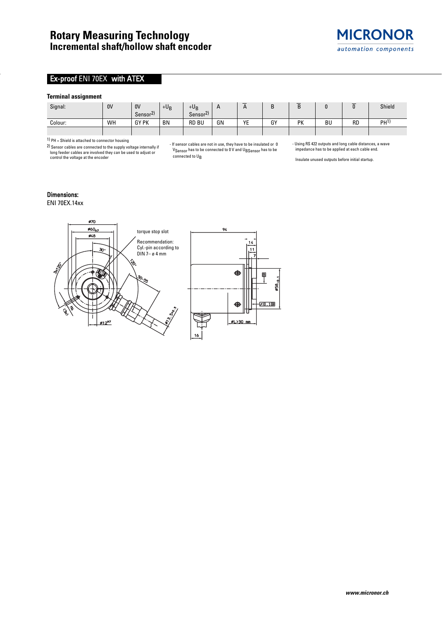#### **Terminal assignment**

| Signal: | 0 <sup>V</sup> | 0 <sup>0</sup>                                                   | $+0$      | +Up                                  |    | $\mathbf{\Gamma}$ |    | ◡  |    | _<br>u    | Shield          |
|---------|----------------|------------------------------------------------------------------|-----------|--------------------------------------|----|-------------------|----|----|----|-----------|-----------------|
|         |                | $\mathbf{a}$<br>$\overline{\phantom{0}}$<br>Sensor <sup>21</sup> |           | $\mathbf{a}$<br>sensor <sup>21</sup> |    |                   |    |    |    |           |                 |
| Colour: | WH             | <b>GY PK</b>                                                     | <b>BN</b> | <b>RD BU</b>                         | GN | VE<br>. .         | GY | PK | BU | <b>RD</b> | PH <sup>1</sup> |
|         |                |                                                                  |           |                                      |    |                   |    |    |    |           |                 |

1) PH = Shield is attached to connector housing

2) Sensor cables are connected to the supply voltage internally if long feeder cables are involved they can be used to adjust or control the voltage at the encoder

- If sensor cables are not in use, they have to be insulated or 0  $V_{\text{Sensor}}$  has to be connected to 0 V and  $U_{\text{BSensor}}$  has to be connected to  $\mathsf{U}_\mathsf{B}$ 

- Using RS 422 outputs and long cable distances, a wave impedance has to be applied at each cable end.

**MICRONOR** 

automation components

Insulate unused outputs before initial startup.

### Dimensions:

ENI 70EX.14xx